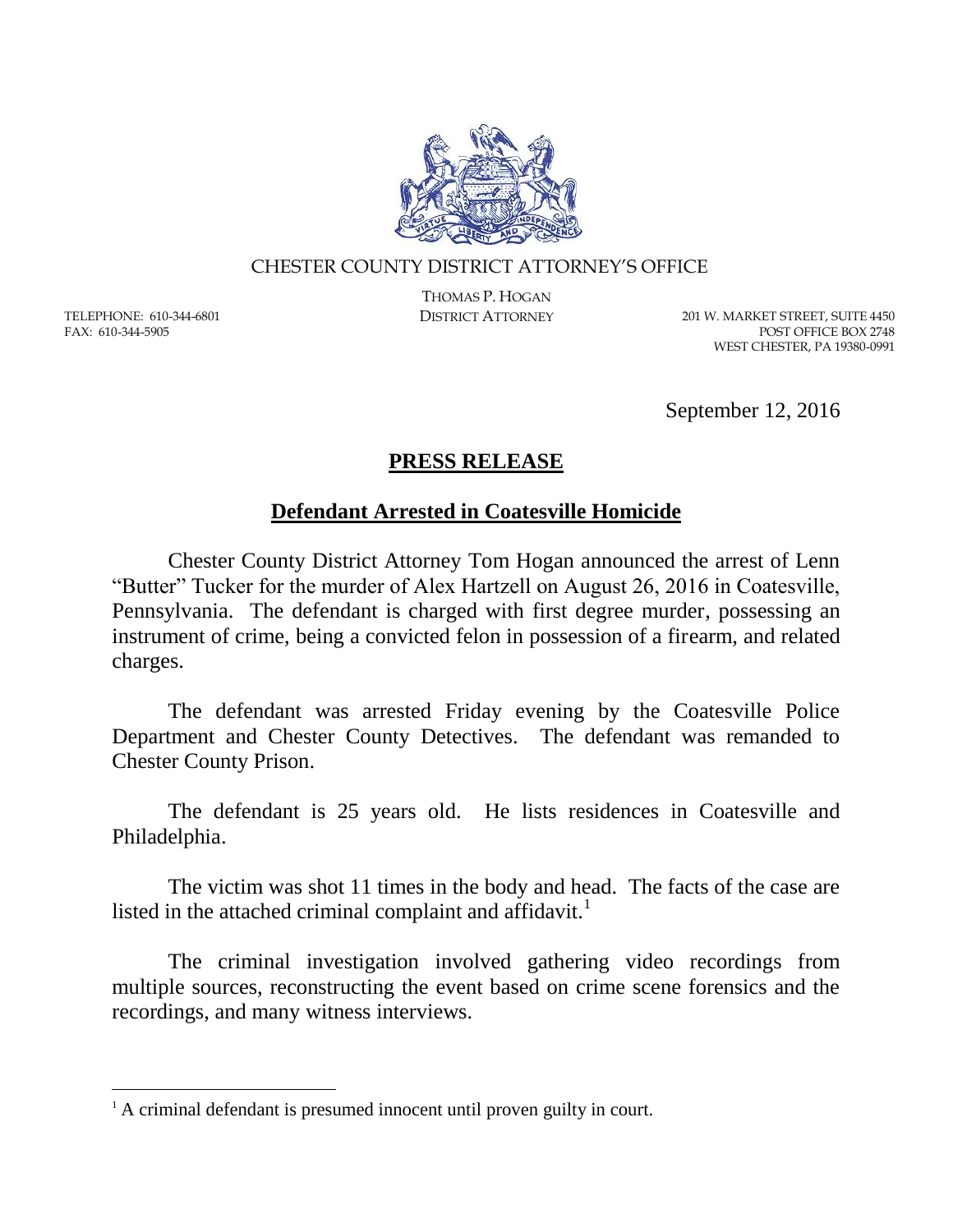

## CHESTER COUNTY DISTRICT ATTORNEY'S OFFICE

TELEPHONE: 610-344-6801 FAX: 610-344-5905

 $\overline{a}$ 

THOMAS P. HOGAN

DISTRICT ATTORNEY 201 W. MARKET STREET, SUITE 4450 POST OFFICE BOX 2748 WEST CHESTER, PA 19380-0991

September 12, 2016

## **PRESS RELEASE**

## **Defendant Arrested in Coatesville Homicide**

Chester County District Attorney Tom Hogan announced the arrest of Lenn "Butter" Tucker for the murder of Alex Hartzell on August 26, 2016 in Coatesville, Pennsylvania. The defendant is charged with first degree murder, possessing an instrument of crime, being a convicted felon in possession of a firearm, and related charges.

The defendant was arrested Friday evening by the Coatesville Police Department and Chester County Detectives. The defendant was remanded to Chester County Prison.

The defendant is 25 years old. He lists residences in Coatesville and Philadelphia.

The victim was shot 11 times in the body and head. The facts of the case are listed in the attached criminal complaint and affidavit.<sup>1</sup>

The criminal investigation involved gathering video recordings from multiple sources, reconstructing the event based on crime scene forensics and the recordings, and many witness interviews.

<sup>&</sup>lt;sup>1</sup> A criminal defendant is presumed innocent until proven guilty in court.